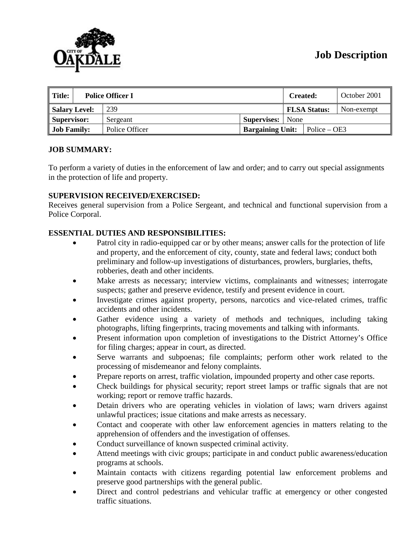# **Job Description**

| $\parallel$ Title:<br><b>Police Officer I</b> |  |                |  | October 2001<br>Created: |  |                      |            |
|-----------------------------------------------|--|----------------|--|--------------------------|--|----------------------|------------|
| Salary Level:                                 |  | 239            |  |                          |  | <b>FLSA Status:</b>  | Non-exempt |
| Supervisor:                                   |  | Sergeant       |  | <b>Supervises:</b> None  |  |                      |            |
| <b>Job Family:</b>                            |  | Police Officer |  | <b>Bargaining Unit:</b>  |  | $\vert$ Police – OE3 |            |

#### **JOB SUMMARY:**

To perform a variety of duties in the enforcement of law and order; and to carry out special assignments in the protection of life and property.

#### **SUPERVISION RECEIVED/EXERCISED:**

Receives general supervision from a Police Sergeant, and technical and functional supervision from a Police Corporal.

#### **ESSENTIAL DUTIES AND RESPONSIBILITIES:**

- Patrol city in radio-equipped car or by other means; answer calls for the protection of life and property, and the enforcement of city, county, state and federal laws; conduct both preliminary and follow-up investigations of disturbances, prowlers, burglaries, thefts, robberies, death and other incidents.
- Make arrests as necessary; interview victims, complainants and witnesses; interrogate suspects; gather and preserve evidence, testify and present evidence in court.
- Investigate crimes against property, persons, narcotics and vice-related crimes, traffic accidents and other incidents.
- Gather evidence using a variety of methods and techniques, including taking photographs, lifting fingerprints, tracing movements and talking with informants.
- Present information upon completion of investigations to the District Attorney's Office for filing charges; appear in court, as directed.
- Serve warrants and subpoenas; file complaints; perform other work related to the processing of misdemeanor and felony complaints.
- Prepare reports on arrest, traffic violation, impounded property and other case reports.
- Check buildings for physical security; report street lamps or traffic signals that are not working; report or remove traffic hazards.
- Detain drivers who are operating vehicles in violation of laws; warn drivers against unlawful practices; issue citations and make arrests as necessary.
- Contact and cooperate with other law enforcement agencies in matters relating to the apprehension of offenders and the investigation of offenses.
- Conduct surveillance of known suspected criminal activity.
- Attend meetings with civic groups; participate in and conduct public awareness/education programs at schools.
- Maintain contacts with citizens regarding potential law enforcement problems and preserve good partnerships with the general public.
- Direct and control pedestrians and vehicular traffic at emergency or other congested traffic situations.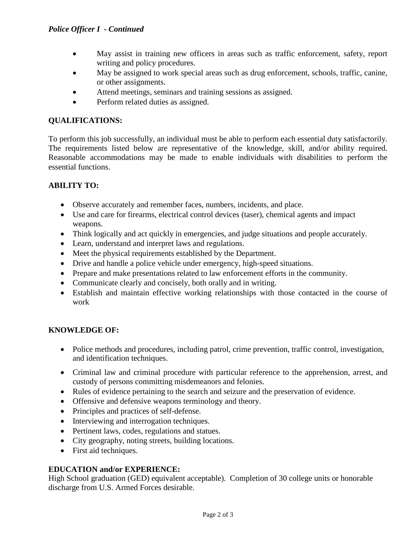- May assist in training new officers in areas such as traffic enforcement, safety, report writing and policy procedures.
- May be assigned to work special areas such as drug enforcement, schools, traffic, canine, or other assignments.
- Attend meetings, seminars and training sessions as assigned.
- Perform related duties as assigned.

#### **QUALIFICATIONS:**

To perform this job successfully, an individual must be able to perform each essential duty satisfactorily. The requirements listed below are representative of the knowledge, skill, and/or ability required. Reasonable accommodations may be made to enable individuals with disabilities to perform the essential functions.

#### **ABILITY TO:**

- Observe accurately and remember faces, numbers, incidents, and place.
- Use and care for firearms, electrical control devices (taser), chemical agents and impact weapons.
- Think logically and act quickly in emergencies, and judge situations and people accurately.
- Learn, understand and interpret laws and regulations.
- Meet the physical requirements established by the Department.
- Drive and handle a police vehicle under emergency, high-speed situations.
- Prepare and make presentations related to law enforcement efforts in the community.
- Communicate clearly and concisely, both orally and in writing.
- Establish and maintain effective working relationships with those contacted in the course of work

#### **KNOWLEDGE OF:**

- Police methods and procedures, including patrol, crime prevention, traffic control, investigation, and identification techniques.
- Criminal law and criminal procedure with particular reference to the apprehension, arrest, and custody of persons committing misdemeanors and felonies.
- Rules of evidence pertaining to the search and seizure and the preservation of evidence.
- Offensive and defensive weapons terminology and theory.
- Principles and practices of self-defense.
- Interviewing and interrogation techniques.
- Pertinent laws, codes, regulations and statues.
- City geography, noting streets, building locations.
- First aid techniques.

#### **EDUCATION and/or EXPERIENCE:**

High School graduation (GED) equivalent acceptable). Completion of 30 college units or honorable discharge from U.S. Armed Forces desirable.